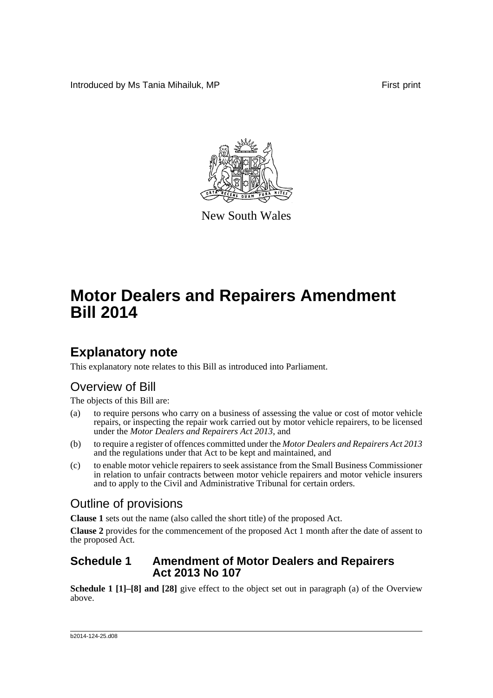Introduced by Ms Tania Mihailuk, MP **First print** First print



New South Wales

# **Motor Dealers and Repairers Amendment Bill 2014**

## **Explanatory note**

This explanatory note relates to this Bill as introduced into Parliament.

### Overview of Bill

The objects of this Bill are:

- (a) to require persons who carry on a business of assessing the value or cost of motor vehicle repairs, or inspecting the repair work carried out by motor vehicle repairers, to be licensed under the *Motor Dealers and Repairers Act 2013*, and
- (b) to require a register of offences committed under the *Motor Dealers and Repairers Act 2013* and the regulations under that Act to be kept and maintained, and
- (c) to enable motor vehicle repairers to seek assistance from the Small Business Commissioner in relation to unfair contracts between motor vehicle repairers and motor vehicle insurers and to apply to the Civil and Administrative Tribunal for certain orders.

### Outline of provisions

**Clause 1** sets out the name (also called the short title) of the proposed Act.

**Clause 2** provides for the commencement of the proposed Act 1 month after the date of assent to the proposed Act.

#### **Schedule 1 Amendment of Motor Dealers and Repairers Act 2013 No 107**

**Schedule 1 [1]–[8] and [28]** give effect to the object set out in paragraph (a) of the Overview above.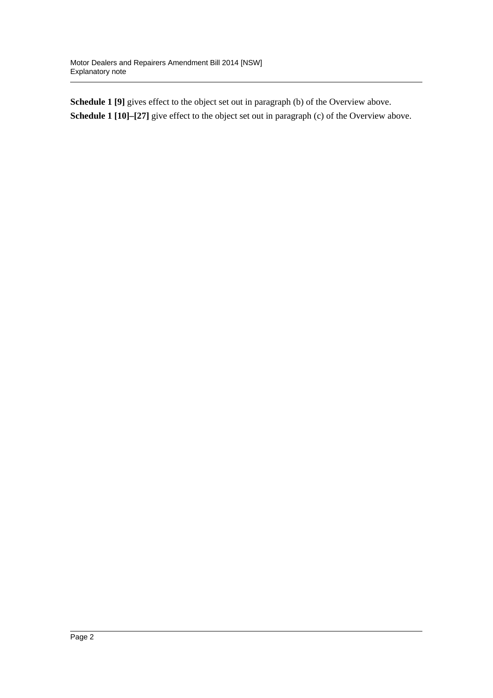**Schedule 1 [9]** gives effect to the object set out in paragraph (b) of the Overview above. **Schedule 1 [10]–[27]** give effect to the object set out in paragraph (c) of the Overview above.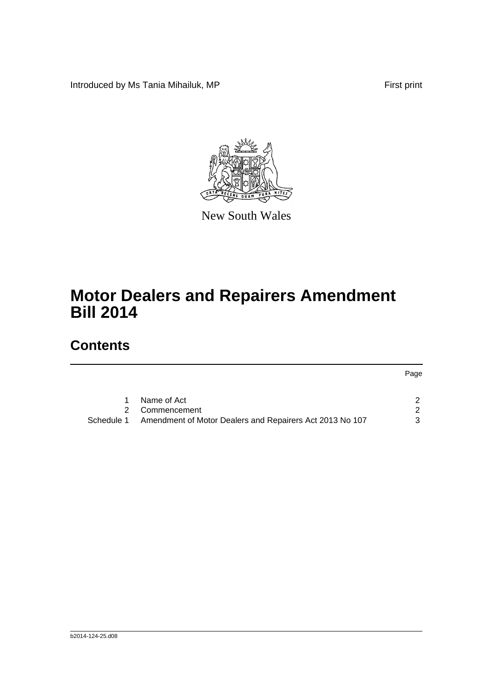Introduced by Ms Tania Mihailuk, MP First print



New South Wales

# **Motor Dealers and Repairers Amendment Bill 2014**

## **Contents**

Page

|            | Name of Act                                              |   |
|------------|----------------------------------------------------------|---|
|            | 2 Commencement                                           |   |
| Schedule 1 | Amendment of Motor Dealers and Repairers Act 2013 No 107 | 3 |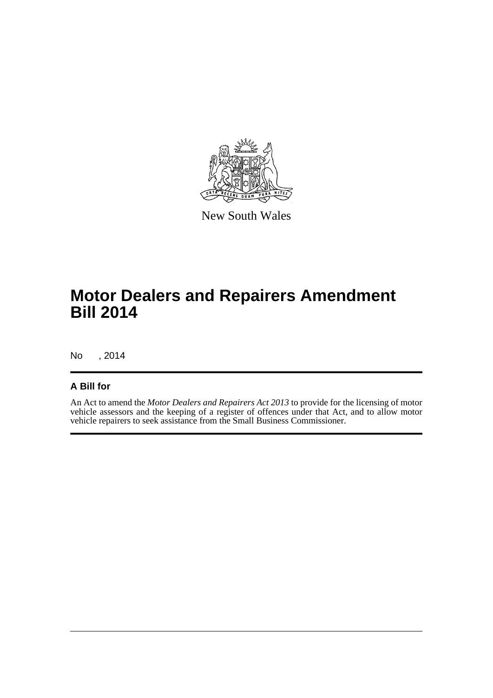

New South Wales

## **Motor Dealers and Repairers Amendment Bill 2014**

No , 2014

#### **A Bill for**

An Act to amend the *Motor Dealers and Repairers Act 2013* to provide for the licensing of motor vehicle assessors and the keeping of a register of offences under that Act, and to allow motor vehicle repairers to seek assistance from the Small Business Commissioner.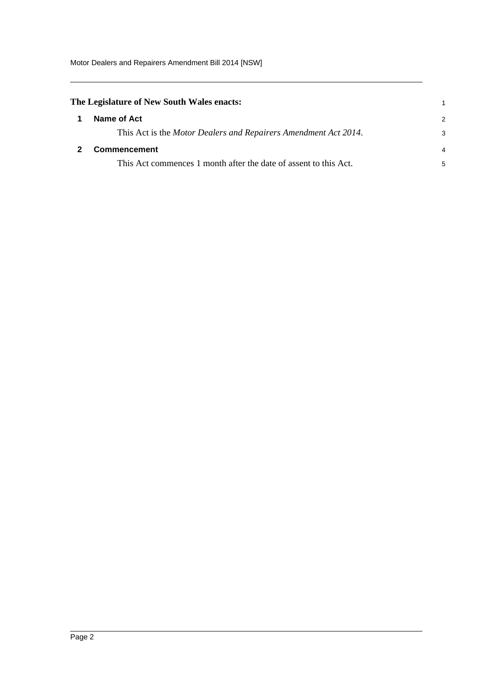Motor Dealers and Repairers Amendment Bill 2014 [NSW]

<span id="page-4-1"></span><span id="page-4-0"></span>

|   | The Legislature of New South Wales enacts:                       |               |
|---|------------------------------------------------------------------|---------------|
| 1 | Name of Act                                                      | $\mathcal{P}$ |
|   | This Act is the Motor Dealers and Repairers Amendment Act 2014.  | 3             |
|   | Commencement                                                     | 4             |
|   | This Act commences 1 month after the date of assent to this Act. | 5             |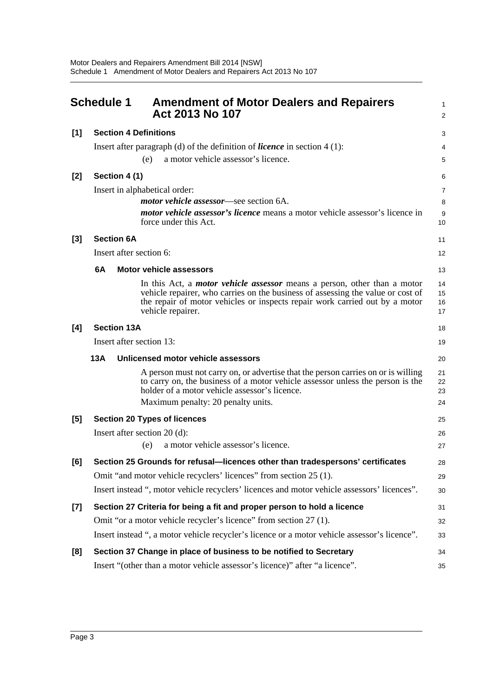<span id="page-5-0"></span>

|       | <b>Schedule 1</b><br><b>Amendment of Motor Dealers and Repairers</b><br>Act 2013 No 107                                                                                                                                                                                | 1<br>$\overline{a}$  |  |  |  |
|-------|------------------------------------------------------------------------------------------------------------------------------------------------------------------------------------------------------------------------------------------------------------------------|----------------------|--|--|--|
| [1]   | <b>Section 4 Definitions</b>                                                                                                                                                                                                                                           |                      |  |  |  |
|       | Insert after paragraph (d) of the definition of <i>licence</i> in section $4(1)$ :                                                                                                                                                                                     | 4                    |  |  |  |
|       | a motor vehicle assessor's licence.<br>(e)                                                                                                                                                                                                                             | 5                    |  |  |  |
| $[2]$ | Section 4 (1)                                                                                                                                                                                                                                                          | 6                    |  |  |  |
|       | Insert in alphabetical order:                                                                                                                                                                                                                                          | 7                    |  |  |  |
|       | motor vehicle assessor—see section 6A.                                                                                                                                                                                                                                 | 8                    |  |  |  |
|       | <i>motor vehicle assessor's licence</i> means a motor vehicle assessor's licence in<br>force under this Act.                                                                                                                                                           | 9<br>10              |  |  |  |
| $[3]$ | <b>Section 6A</b>                                                                                                                                                                                                                                                      | 11                   |  |  |  |
|       | Insert after section 6:                                                                                                                                                                                                                                                | 12                   |  |  |  |
|       | 6A<br><b>Motor vehicle assessors</b>                                                                                                                                                                                                                                   | 13                   |  |  |  |
|       | In this Act, a <i>motor vehicle assessor</i> means a person, other than a motor<br>vehicle repairer, who carries on the business of assessing the value or cost of<br>the repair of motor vehicles or inspects repair work carried out by a motor<br>vehicle repairer. | 14<br>15<br>16<br>17 |  |  |  |
| [4]   | <b>Section 13A</b>                                                                                                                                                                                                                                                     | 18                   |  |  |  |
|       | Insert after section 13:                                                                                                                                                                                                                                               | 19                   |  |  |  |
|       | 13A<br>Unlicensed motor vehicle assessors                                                                                                                                                                                                                              | 20                   |  |  |  |
|       | A person must not carry on, or advertise that the person carries on or is willing<br>to carry on, the business of a motor vehicle assessor unless the person is the<br>holder of a motor vehicle assessor's licence.                                                   | 21<br>22<br>23       |  |  |  |
|       | Maximum penalty: 20 penalty units.                                                                                                                                                                                                                                     | 24                   |  |  |  |
| [5]   | <b>Section 20 Types of licences</b>                                                                                                                                                                                                                                    | 25                   |  |  |  |
|       | Insert after section $20$ (d):                                                                                                                                                                                                                                         | 26                   |  |  |  |
|       | a motor vehicle assessor's licence.<br>(e)                                                                                                                                                                                                                             | 27                   |  |  |  |
| [6]   | Section 25 Grounds for refusal—licences other than tradespersons' certificates                                                                                                                                                                                         | 28                   |  |  |  |
|       | Omit "and motor vehicle recyclers' licences" from section 25 (1).                                                                                                                                                                                                      | 29                   |  |  |  |
|       | Insert instead ", motor vehicle recyclers' licences and motor vehicle assessors' licences".                                                                                                                                                                            | 30                   |  |  |  |
| [7]   | Section 27 Criteria for being a fit and proper person to hold a licence                                                                                                                                                                                                | 31                   |  |  |  |
|       | Omit "or a motor vehicle recycler's licence" from section 27 (1).                                                                                                                                                                                                      | 32                   |  |  |  |
|       | Insert instead ", a motor vehicle recycler's licence or a motor vehicle assessor's licence".                                                                                                                                                                           | 33                   |  |  |  |
| [8]   | Section 37 Change in place of business to be notified to Secretary                                                                                                                                                                                                     | 34                   |  |  |  |
|       | Insert "(other than a motor vehicle assessor's licence)" after "a licence".                                                                                                                                                                                            | 35                   |  |  |  |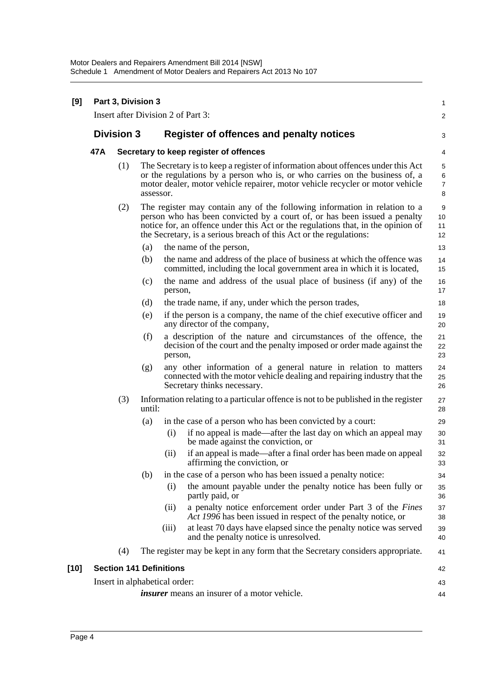| [9]    | Part 3, Division 3<br>Insert after Division 2 of Part 3: |                                        |                                                                                                                                                                                                                                                                                                                   |                               |                                                                                                                                                                             |                     |  |
|--------|----------------------------------------------------------|----------------------------------------|-------------------------------------------------------------------------------------------------------------------------------------------------------------------------------------------------------------------------------------------------------------------------------------------------------------------|-------------------------------|-----------------------------------------------------------------------------------------------------------------------------------------------------------------------------|---------------------|--|
|        |                                                          |                                        |                                                                                                                                                                                                                                                                                                                   |                               |                                                                                                                                                                             | $\overline{2}$      |  |
|        | <b>Division 3</b>                                        |                                        |                                                                                                                                                                                                                                                                                                                   |                               | Register of offences and penalty notices                                                                                                                                    | 3                   |  |
|        | 47A                                                      | Secretary to keep register of offences |                                                                                                                                                                                                                                                                                                                   |                               |                                                                                                                                                                             |                     |  |
|        |                                                          | (1)                                    | The Secretary is to keep a register of information about offences under this Act<br>or the regulations by a person who is, or who carries on the business of, a<br>motor dealer, motor vehicle repairer, motor vehicle recycler or motor vehicle<br>assessor.                                                     |                               |                                                                                                                                                                             |                     |  |
|        |                                                          | (2)                                    | The register may contain any of the following information in relation to a<br>person who has been convicted by a court of, or has been issued a penalty<br>notice for, an offence under this Act or the regulations that, in the opinion of<br>the Secretary, is a serious breach of this Act or the regulations: |                               |                                                                                                                                                                             | 9<br>10<br>11<br>12 |  |
|        |                                                          |                                        | (a)                                                                                                                                                                                                                                                                                                               |                               | the name of the person,                                                                                                                                                     | 13                  |  |
|        |                                                          |                                        | (b)                                                                                                                                                                                                                                                                                                               |                               | the name and address of the place of business at which the offence was<br>committed, including the local government area in which it is located,                            | 14<br>15            |  |
|        |                                                          |                                        | (c)                                                                                                                                                                                                                                                                                                               | person,                       | the name and address of the usual place of business (if any) of the                                                                                                         | 16<br>17            |  |
|        |                                                          |                                        | (d)                                                                                                                                                                                                                                                                                                               |                               | the trade name, if any, under which the person trades,                                                                                                                      | 18                  |  |
|        |                                                          |                                        | (e)                                                                                                                                                                                                                                                                                                               |                               | if the person is a company, the name of the chief executive officer and<br>any director of the company,                                                                     | 19<br>20            |  |
|        |                                                          |                                        | (f)                                                                                                                                                                                                                                                                                                               | person,                       | a description of the nature and circumstances of the offence, the<br>decision of the court and the penalty imposed or order made against the                                | 21<br>22<br>23      |  |
|        |                                                          |                                        | (g)                                                                                                                                                                                                                                                                                                               |                               | any other information of a general nature in relation to matters<br>connected with the motor vehicle dealing and repairing industry that the<br>Secretary thinks necessary. | 24<br>25<br>26      |  |
|        |                                                          | (3)                                    | until:                                                                                                                                                                                                                                                                                                            |                               | Information relating to a particular offence is not to be published in the register                                                                                         | 27<br>28            |  |
|        |                                                          |                                        | (a)                                                                                                                                                                                                                                                                                                               |                               | in the case of a person who has been convicted by a court:                                                                                                                  | 29                  |  |
|        |                                                          |                                        |                                                                                                                                                                                                                                                                                                                   | (i)                           | if no appeal is made—after the last day on which an appeal may<br>be made against the conviction, or                                                                        | 30<br>31            |  |
|        |                                                          |                                        |                                                                                                                                                                                                                                                                                                                   | (ii)                          | if an appeal is made—after a final order has been made on appeal<br>affirming the conviction, or                                                                            | 32<br>33            |  |
|        |                                                          |                                        | (b)                                                                                                                                                                                                                                                                                                               |                               | in the case of a person who has been issued a penalty notice:                                                                                                               | 34                  |  |
|        |                                                          |                                        |                                                                                                                                                                                                                                                                                                                   | (i)                           | the amount payable under the penalty notice has been fully or<br>partly paid, or                                                                                            | 35<br>36            |  |
|        |                                                          |                                        |                                                                                                                                                                                                                                                                                                                   | (ii)                          | a penalty notice enforcement order under Part 3 of the Fines<br>Act 1996 has been issued in respect of the penalty notice, or                                               | 37<br>38            |  |
|        |                                                          |                                        |                                                                                                                                                                                                                                                                                                                   | (iii)                         | at least 70 days have elapsed since the penalty notice was served<br>and the penalty notice is unresolved.                                                                  | 39<br>40            |  |
|        |                                                          | (4)                                    |                                                                                                                                                                                                                                                                                                                   |                               | The register may be kept in any form that the Secretary considers appropriate.                                                                                              | 41                  |  |
| $[10]$ |                                                          | <b>Section 141 Definitions</b><br>42   |                                                                                                                                                                                                                                                                                                                   |                               |                                                                                                                                                                             |                     |  |
|        |                                                          |                                        |                                                                                                                                                                                                                                                                                                                   | Insert in alphabetical order: |                                                                                                                                                                             | 43                  |  |
|        |                                                          |                                        | <i>insurer</i> means an insurer of a motor vehicle.                                                                                                                                                                                                                                                               |                               |                                                                                                                                                                             |                     |  |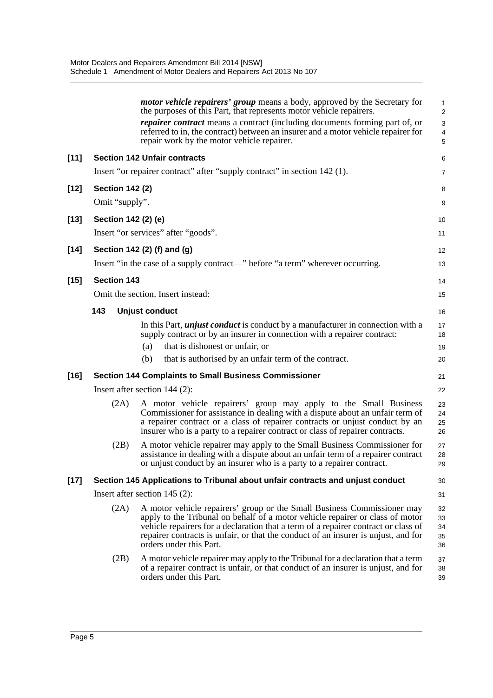|        |                        | <i>motor vehicle repairers' group</i> means a body, approved by the Secretary for<br>the purposes of this Part, that represents motor vehicle repairers.                                                                                                                                                                                                        | $\mathbf{1}$<br>$\overline{\mathbf{c}}$ |
|--------|------------------------|-----------------------------------------------------------------------------------------------------------------------------------------------------------------------------------------------------------------------------------------------------------------------------------------------------------------------------------------------------------------|-----------------------------------------|
|        |                        | <i>repairer contract</i> means a contract (including documents forming part of, or<br>referred to in, the contract) between an insurer and a motor vehicle repairer for<br>repair work by the motor vehicle repairer.                                                                                                                                           | 3<br>4<br>5                             |
| $[11]$ |                        | <b>Section 142 Unfair contracts</b>                                                                                                                                                                                                                                                                                                                             | 6                                       |
|        |                        | Insert "or repairer contract" after "supply contract" in section 142 (1).                                                                                                                                                                                                                                                                                       | 7                                       |
| $[12]$ | <b>Section 142 (2)</b> |                                                                                                                                                                                                                                                                                                                                                                 | 8                                       |
|        | Omit "supply".         |                                                                                                                                                                                                                                                                                                                                                                 | 9                                       |
| $[13]$ | Section 142 (2) (e)    |                                                                                                                                                                                                                                                                                                                                                                 | 10                                      |
|        |                        | Insert "or services" after "goods".                                                                                                                                                                                                                                                                                                                             | 11                                      |
| $[14]$ |                        | Section 142 (2) (f) and (g)                                                                                                                                                                                                                                                                                                                                     | 12                                      |
|        |                        | Insert "in the case of a supply contract—" before "a term" wherever occurring.                                                                                                                                                                                                                                                                                  | 13                                      |
| $[15]$ | <b>Section 143</b>     |                                                                                                                                                                                                                                                                                                                                                                 | 14                                      |
|        |                        | Omit the section. Insert instead:                                                                                                                                                                                                                                                                                                                               | 15                                      |
|        | 143                    | <b>Unjust conduct</b>                                                                                                                                                                                                                                                                                                                                           | 16                                      |
|        |                        | In this Part, <i>unjust conduct</i> is conduct by a manufacturer in connection with a<br>supply contract or by an insurer in connection with a repairer contract:                                                                                                                                                                                               | 17<br>18                                |
|        |                        | that is dishonest or unfair, or<br>(a)                                                                                                                                                                                                                                                                                                                          | 19                                      |
|        |                        | that is authorised by an unfair term of the contract.<br>(b)                                                                                                                                                                                                                                                                                                    | 20                                      |
| $[16]$ |                        | <b>Section 144 Complaints to Small Business Commissioner</b>                                                                                                                                                                                                                                                                                                    | 21                                      |
|        |                        | Insert after section 144 (2):                                                                                                                                                                                                                                                                                                                                   | 22                                      |
|        | (2A)                   | A motor vehicle repairers' group may apply to the Small Business<br>Commissioner for assistance in dealing with a dispute about an unfair term of<br>a repairer contract or a class of repairer contracts or unjust conduct by an<br>insurer who is a party to a repairer contract or class of repairer contracts.                                              | 23<br>24<br>25<br>26                    |
|        | (2B)                   | A motor vehicle repairer may apply to the Small Business Commissioner for<br>assistance in dealing with a dispute about an unfair term of a repairer contract<br>or unjust conduct by an insurer who is a party to a repairer contract.                                                                                                                         | 27<br>28<br>29                          |
| $[17]$ |                        | Section 145 Applications to Tribunal about unfair contracts and unjust conduct                                                                                                                                                                                                                                                                                  | 30                                      |
|        |                        | Insert after section $145$ (2):                                                                                                                                                                                                                                                                                                                                 | 31                                      |
|        | (2A)                   | A motor vehicle repairers' group or the Small Business Commissioner may<br>apply to the Tribunal on behalf of a motor vehicle repairer or class of motor<br>vehicle repairers for a declaration that a term of a repairer contract or class of<br>repairer contracts is unfair, or that the conduct of an insurer is unjust, and for<br>orders under this Part. | 32<br>33<br>34<br>35<br>36              |
|        | (2B)                   | A motor vehicle repairer may apply to the Tribunal for a declaration that a term<br>of a repairer contract is unfair, or that conduct of an insurer is unjust, and for<br>orders under this Part.                                                                                                                                                               | 37<br>38<br>39                          |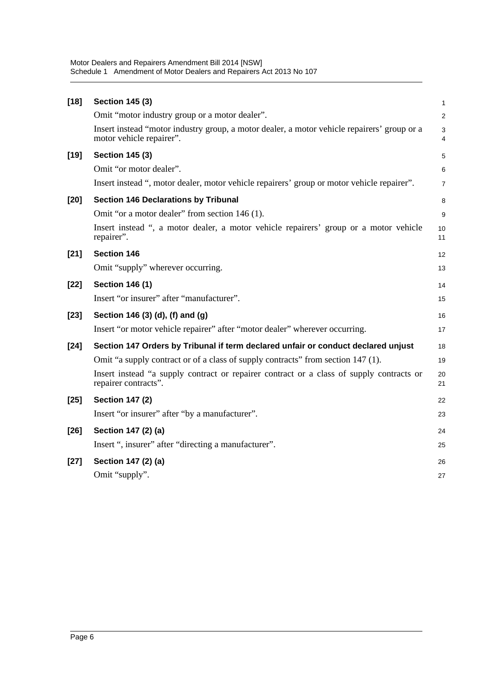| $[18]$ | <b>Section 145 (3)</b>                                                                                                  | $\mathbf{1}$        |
|--------|-------------------------------------------------------------------------------------------------------------------------|---------------------|
|        | Omit "motor industry group or a motor dealer".                                                                          | $\overline{2}$      |
|        | Insert instead "motor industry group, a motor dealer, a motor vehicle repairers' group or a<br>motor vehicle repairer". | 3<br>$\overline{4}$ |
| $[19]$ | <b>Section 145 (3)</b>                                                                                                  | 5                   |
|        | Omit "or motor dealer".                                                                                                 | 6                   |
|        | Insert instead ", motor dealer, motor vehicle repairers' group or motor vehicle repairer".                              | $\overline{7}$      |
| $[20]$ | <b>Section 146 Declarations by Tribunal</b>                                                                             | 8                   |
|        | Omit "or a motor dealer" from section 146 (1).                                                                          | 9                   |
|        | Insert instead ", a motor dealer, a motor vehicle repairers' group or a motor vehicle<br>repairer".                     | 10<br>11            |
| $[21]$ | <b>Section 146</b>                                                                                                      | 12                  |
|        | Omit "supply" wherever occurring.                                                                                       | 13                  |
| $[22]$ | <b>Section 146 (1)</b>                                                                                                  | 14                  |
|        | Insert "or insurer" after "manufacturer".                                                                               | 15                  |
| $[23]$ | Section 146 (3) (d), (f) and (g)                                                                                        | 16                  |
|        | Insert "or motor vehicle repairer" after "motor dealer" wherever occurring.                                             | 17                  |
| $[24]$ | Section 147 Orders by Tribunal if term declared unfair or conduct declared unjust                                       | 18                  |
|        | Omit "a supply contract or of a class of supply contracts" from section 147 (1).                                        | 19                  |
|        | Insert instead "a supply contract or repairer contract or a class of supply contracts or<br>repairer contracts".        | 20<br>21            |
| $[25]$ | <b>Section 147 (2)</b>                                                                                                  | 22                  |
|        | Insert "or insurer" after "by a manufacturer".                                                                          | 23                  |
| $[26]$ | Section 147 (2) (a)                                                                                                     | 24                  |
|        | Insert ", insurer" after "directing a manufacturer".                                                                    | 25                  |
| $[27]$ | Section 147 (2) (a)                                                                                                     | 26                  |
|        | Omit "supply".                                                                                                          | 27                  |